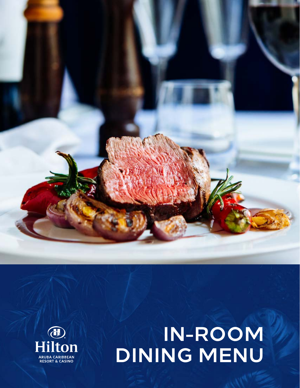



# **IN-ROOM DINING MENU**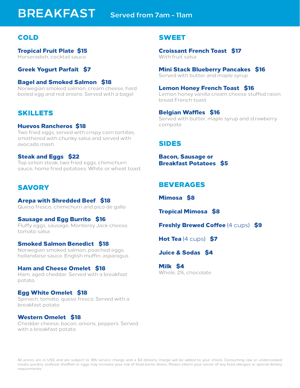## **BREAKFAST Served from 7am - 11am**

## COLD

Tropical Fruit Plate \$15 Horseradish, cocktail sauce

Greek Yogurt Parfait \$7

## Bagel and Smoked Salmon \$18

Norwegian smoked salmon, cream cheese, hard boiled egg and red onions. Served with a bagel

## SKILLETS

#### Huevos Rancheros \$18

Two fried eggs, served with crispy corn tortillas, smothered with chunky salsa and served with avocado mash

#### Steak and Eggs \$22

Top sirloin steak, two fried eggs, chimichurri sauce, home fried potatoes. White or wheat toast

## **SAVORY**

#### Arepa with Shredded Beef \$18

Queso fresco, chimichurri and pico de gallo

## Sausage and Egg Burrito \$16

Fluffy eggs, sausage, Monterey Jack cheese, tomato salsa

## Smoked Salmon Benedict \$18

Norwegian smoked salmon, poached eggs, hollandaise sauce, English muffin, asparagus

#### Ham and Cheese Omelet \$18 Ham, aged cheddar. Served with a breakfast potato

## Egg White Omelet \$18

Spinach, tomato, queso fresco. Served with a breakfast potato

## Western Omelet \$18

Cheddar cheese, bacon, onions, peppers. Served with a breakfast potato

## SWEET

Croissant French Toast \$17 With fruit salsa

### Mini Stack Blueberry Pancakes \$16

Served with butter and maple syrup

#### Lemon Honey French Toast \$16

Lemon honey vanilla cream cheese stuffed raisin bread French toast

#### Belgian Waffles \$16

Served with butter, maple syrup and strawberry compote

## SIDES

Bacon, Sausage or Breakfast Potatoes \$5

## BEVERAGES

Mimosa \$8

Tropical Mimosa \$8

**Freshly Brewed Coffee (4 cups) \$9** 

**Hot Tea**  $(4 \text{ cups})$  **\$7** 

## Juice & Sodas \$4

Milk \$4 Whole, 2%, chocolate

All prices are in US\$ and are subject to 18% service charge and a \$4 delivery charge will be added to your check. Consuming raw or undercooked meats, poultry, seafood, shellfish or eggs may increase your risk of food borne illness. Please inform your server of any food allergies or special dietary requirements.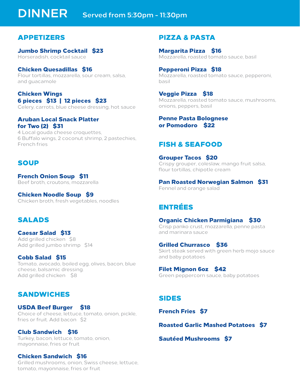## **DINNER Served from 5:30pm - 11:30pm**

## APPETIZERS

Jumbo Shrimp Cocktail \$23 Horseradish, cocktail sauce

Chicken Quesadillas \$16 Flour tortillas, mozzarella, sour cream, salsa, and guacamole

## Chicken Wings 6 pieces \$13 | 12 pieces \$23

Celery, carrots, blue cheese dressing, hot sauce

## Aruban Local Snack Platter for Two (2) \$31

4 Local gouda cheese croquettes, 6 Buffalo wings, 2 coconut shrimp, 2 pastechies, French fries

## SOUP

French Onion Soup \$11 Beef broth, croutons, mozzarella

Chicken Noodle Soup \$9 Chicken broth, fresh vegetables, noodles

## SALADS

Caesar Salad \$13 Add grilled chicken \$8 Add grilled jumbo shrimp \$14

Cobb Salad \$15 Tomato, avocado, boiled egg, olives, bacon, blue cheese, balsamic dressing. Add grilled chicken \$8

## SANDWICHES

USDA Beef Burger \$18 Choice of cheese, lettuce, tomato, onion, pickle, fries or fruit. Add bacon \$2

Club Sandwich \$16 Turkey, bacon, lettuce, tomato, onion, mayonnaise, fries or fruit

## Chicken Sandwich \$16

Grilled mushrooms, onion, Swiss cheese, lettuce, tomato, mayonnaise, fries or fruit

## PIZZA & PASTA

Margarita Pizza \$16 Mozzarella, roasted tomato sauce, basil

Pepperoni Pizza \$18 Mozzarella, roasted tomato sauce, pepperoni, basil

Veggie Pizza \$18 Mozzarella, roasted tomato sauce, mushrooms, onions, peppers, basil

## Penne Pasta Bolognese or Pomodoro \$22

## FISH & SEAFOOD

Grouper Tacos \$20 Crispy grouper, coleslaw, mango fruit salsa, flour tortillas, chipotle cream

Pan Roasted Norwegian Salmon \$31 Fennel and orange salad

## ENTRÉES

#### Organic Chicken Parmigiana \$30 Crisp panko crust, mozzarella, penne pasta and marinara sauce

Grilled Churrasco \$36 Skirt steak served with green herb mojo sauce and baby potatoes

Filet Mignon 6oz \$42 Green peppercorn sauce, baby potatoes

## SIDES

French Fries \$7

Roasted Garlic Mashed Potatoes \$7

Sautéed Mushrooms \$7